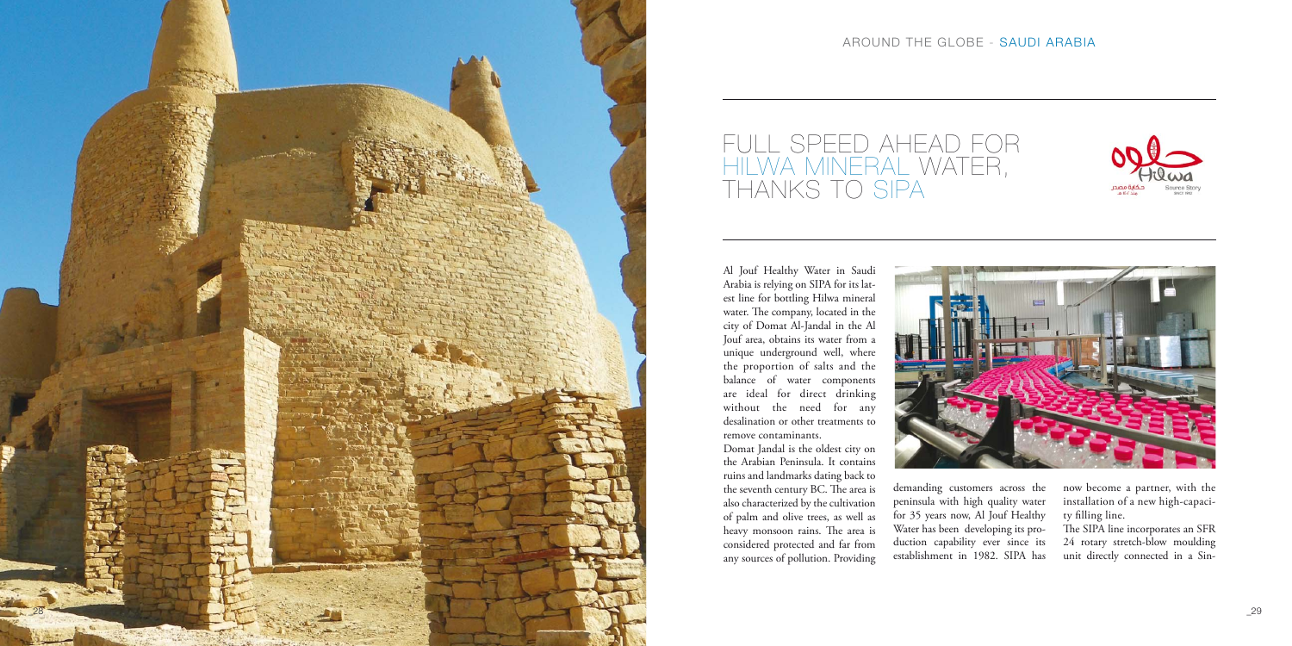

AROUND THE GLOBE - SAUDI ARABIA







## FULL SPEED AHEAD FOR HILWA MINERAL WATER, THANKS TO SIPA

Al Jouf Healthy Water in Saudi Arabia is relying on SIPA for its latest line for bottling Hilwa mineral water. The company, located in the city of Domat Al-Jandal in the Al Jouf area, obtains its water from a unique underground well, where the proportion of salts and the balance of water components are ideal for direct drinking without the need for any desalination or other treatments to remove contaminants.

Domat Jandal is the oldest city on the Arabian Peninsula. It contains ruins and landmarks dating back to the seventh century BC. The area is also characterized by the cultivation of palm and olive trees, as well as heavy monsoon rains. The area is considered protected and far from any sources of pollution. Providing

demanding customers across the peninsula with high quality water for 35 years now, Al Jouf Healthy Water has been developing its production capability ever since its establishment in 1982. SIPA has

now become a partner, with the installation of a new high-capacity filling line.

The SIPA line incorporates an SFR 24 rotary stretch-blow moulding unit directly connected in a Sin